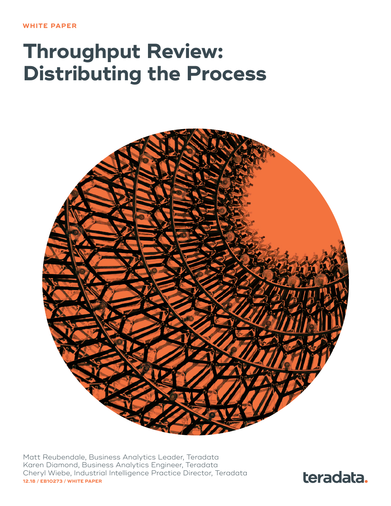# **Throughput Review: Distributing the Process**



Matt Reubendale, Business Analytics Leader, Teradata Karen Diamond, Business Analytics Engineer, Teradata Cheryl Wiebe, Industrial Intelligence Practice Director, Teradata **12.18 / EB10273 / WHITE PAPER**

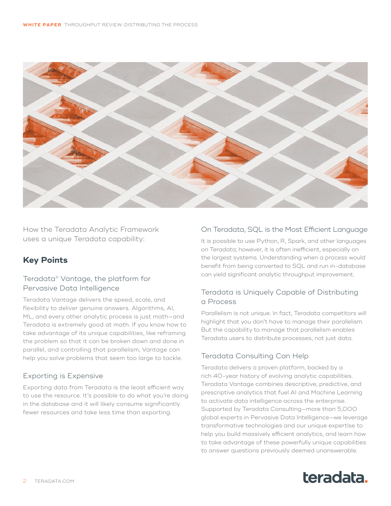

How the Teradata Analytic Framework uses a unique Teradata capability:

# **Key Points**

# Teradata® Vantage, the platform for Pervasive Data Intelligence

Teradata Vantage delivers the speed, scale, and flexibility to deliver genuine answers. Algorithms, AI, ML, and every other analytic process is just math—and Teradata is extremely good at math. If you know how to take advantage of its unique capabilities, like reframing the problem so that it can be broken down and done in parallel, and controlling that parallelism, Vantage can help you solve problems that seem too large to tackle.

# Exporting is Expensive

Exporting data from Teradata is the least efficient way to use the resource. It's possible to do what you're doing in the database and it will likely consume significantly fewer resources and take less time than exporting.

# On Teradata, SQL is the Most Efficient Language

It is possible to use Python, R, Spark, and other languages on Teradata; however, it is often inefficient, especially on the largest systems. Understanding when a process would benefit from being converted to SQL and run in-database can yield significant analytic throughput improvement.

# Teradata is Uniquely Capable of Distributing a Process

Parallelism is not unique. In fact, Teradata competitors will highlight that you don't have to manage their parallelism. But the capability to manage that parallelism enables Teradata users to distribute processes, not just data.

# Teradata Consulting Can Help

Teradata delivers a proven platform, backed by a rich 40-year history of evolving analytic capabilities. Teradata Vantage combines descriptive, predictive, and prescriptive analytics that fuel AI and Machine Learning to activate data intelligence across the enterprise. Supported by Teradata Consulting—more than 5,000 global experts in Pervasive Data Intelligence—we leverage transformative technologies and our unique expertise to help you build massively efficient analytics, and learn how to take advantage of these powerfully unique capabilities to answer questions previously deemed unanswerable.

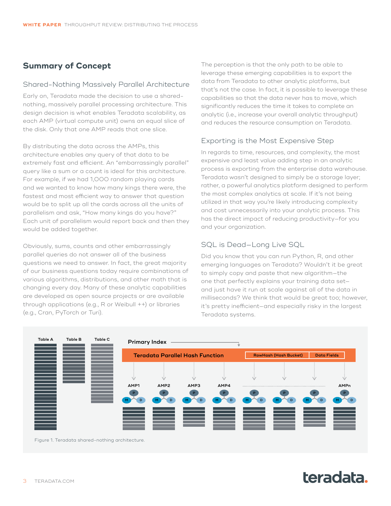# **Summary of Concept**

#### Shared-Nothing Massively Parallel Architecture

Early on, Teradata made the decision to use a sharednothing, massively parallel processing architecture. This design decision is what enables Teradata scalability, as each AMP (virtual compute unit) owns an equal slice of the disk. Only that one AMP reads that one slice.

By distributing the data across the AMPs, this architecture enables any query of that data to be extremely fast and efficient. An "embarrassingly parallel" query like a sum or a count is ideal for this architecture. For example, if we had 1,000 random playing cards and we wanted to know how many kings there were, the fastest and most efficient way to answer that question would be to split up all the cards across all the units of parallelism and ask, "How many kings do you have?" Each unit of parallelism would report back and then they would be added together.

Obviously, sums, counts and other embarrassingly parallel queries do not answer all of the business questions we need to answer. In fact, the great majority of our business questions today require combinations of various algorithms, distributions, and other math that is changing every day. Many of these analytic capabilities are developed as open source projects or are available through applications (e.g., R or Weibull ++) or libraries (e.g., Cran, PyTorch or Turi).

The perception is that the only path to be able to leverage these emerging capabilities is to export the data from Teradata to other analytic platforms, but that's not the case. In fact, it is possible to leverage these capabilities so that the data never has to move, which significantly reduces the time it takes to complete an analytic (i.e., increase your overall analytic throughput) and reduces the resource consumption on Teradata.

# Exporting is the Most Expensive Step

In regards to time, resources, and complexity, the most expensive and least value adding step in an analytic process is exporting from the enterprise data warehouse. Teradata wasn't designed to simply be a storage layer; rather, a powerful analytics platform designed to perform the most complex analytics at scale. If it's not being utilized in that way you're likely introducing complexity and cost unnecessarily into your analytic process. This has the direct impact of reducing productivity—for you and your organization.

# SQL is Dead—Long Live SQL

Did you know that you can run Python, R, and other emerging languages on Teradata? Wouldn't it be great to simply copy and paste that new algorithm—the one that perfectly explains your training data set and just have it run at scale against all of the data in milliseconds? We think that would be great too; however, it's pretty inefficient—and especially risky in the largest Teradata systems.



Figure 1. Teradata shared-nothing architecture.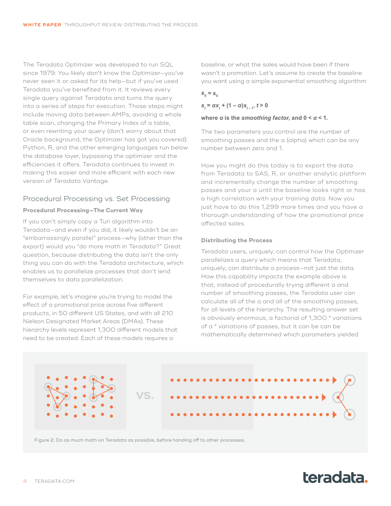The Teradata Optimizer was developed to run SQL since 1979. You likely don't know the Optimizer—you've never seen it or asked for its help—but if you've used Teradata you've benefited from it. It reviews every single query against Teradata and turns the query into a series of steps for execution. Those steps might include moving data between AMPs, avoiding a whole table scan, changing the Primary Index of a table, or even rewriting your query (don't worry about that Oracle background, the Optimizer has got you covered). Python, R, and the other emerging languages run below the database layer, bypassing the optimizer and the efficiencies it offers. Teradata continues to invest in making this easier and more efficient with each new version of Teradata Vantage.

#### Procedural Processing vs. Set Processing

#### **Procedural Processing—The Current Way**

If you can't simply copy a Turi algorithm into Teradata—and even if you did, it likely wouldn't be an "embarrassingly parallel" process—why (other than the export) would you "do more math in Teradata?" Great question, because distributing the data isn't the only thing you can do with the Teradata architecture, which enables us to parallelize processes that don't lend themselves to data parallelization.

For example, let's imagine you're trying to model the effect of a promotional price across five different products, in 50 different US States, and with all 210 Nielson Designated Market Areas (DMAs). These hierarchy levels represent 1,300 different models that need to be created. Each of these models requires a

baseline, or what the sales would have been if there wasn't a promotion. Let's assume to create the baseline you want using a simple exponential smoothing algorithm:

### *s***0 = x0**

 $s_t = \alpha x_t + (1 - \alpha)s_{t-1}, t > 0$ 

#### **where** *α* **is the** *smoothing factor***, and 0 <** *α* **< 1.**

The two parameters you control are the number of smoothing passes and the a (alpha) which can be any number between zero and 1.

How you might do this today is to export the data from Teradata to SAS, R, or another analytic platform and incrementally change the number of smoothing passes and your a until the baseline looks right or has a high correlation with your training data. Now you just have to do this 1,299 more times and you have a thorough understanding of how the promotional price affected sales.

#### **Distributing the Process**

Teradata users, uniquely, can control how the Optimizer parallelizes a query which means that Teradata, uniquely, can distribute a process—not just the data. How this capability impacts the example above is that, instead of procedurally trying different a and number of smoothing passes, the Teradata user can calculate all of the a and all of the smoothing passes, for all levels of the hierarchy. The resulting answer set is obviously enormous, a factorial of 1,300 \* variations of a \* variations of passes, but it can be can be mathematically determined which parameters yielded



Figure 2. Do as much math on Teradata as possible, before handing off to other processes.

# teradata.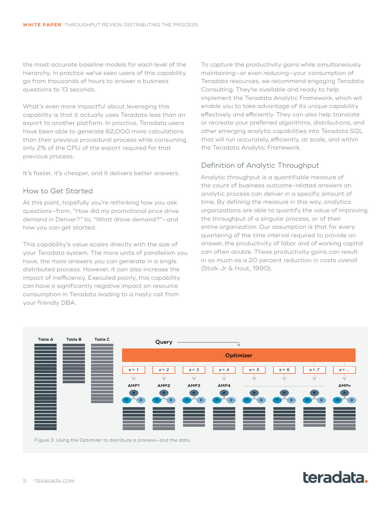the most accurate baseline models for each level of the hierarchy. In practice we've seen users of this capability go from thousands of hours to answer a business questions to 13 seconds.

What's even more impactful about leveraging this capability is that it actually uses Teradata less than an export to another platform. In practice, Teradata users have been able to generate 62,000 more calculations than their previous procedural process while consuming only 2% of the CPU of the export required for that previous process.

It's faster, it's cheaper, and it delivers better answers.

#### How to Get Started

At this point, hopefully you're rethinking how you ask questions—from, "How did my promotional price drive demand in Denver?" to, "What drove demand?"—and how you can get started.

This capability's value scales directly with the size of your Teradata system. The more units of parallelism you have, the more answers you can generate in a single distributed process. However, it can also increase the impact of inefficiency. Executed poorly, this capability can have a significantly negative impact on resource consumption in Teradata leading to a nasty call from your friendly DBA.

To capture the productivity gains while simultaneously maintaining—or even reducing—your consumption of Teradata resources, we recommend engaging Teradata Consulting. They're available and ready to help implement the Teradata Analytic Framework, which will enable you to take advantage of its unique capability effectively and efficiently. They can also help translate or recreate your preferred algorithms, distributions, and other emerging analytic capabilities into Teradata SQL that will run accurately, efficiently, at scale, and within the Teradata Analytic Framework.

# Definition of Analytic Throughput

Analytic throughput is a quantifiable measure of the count of business outcome-related answers an analytic process can deliver in a specific amount of time. By defining the measure in this way, analytics organizations are able to quantify the value of improving the throughput of a singular process, or of their entire organization. Our assumption is that for every quartering of the time interval required to provide an answer, the productivity of labor and of working capital can often double. These productivity gains can result in as much as a 20 percent reduction in costs overall (Stalk Jr & Hout, 1990).



Figure 3. Using the Optimizer to distribute a process—and the data.

# teradata.